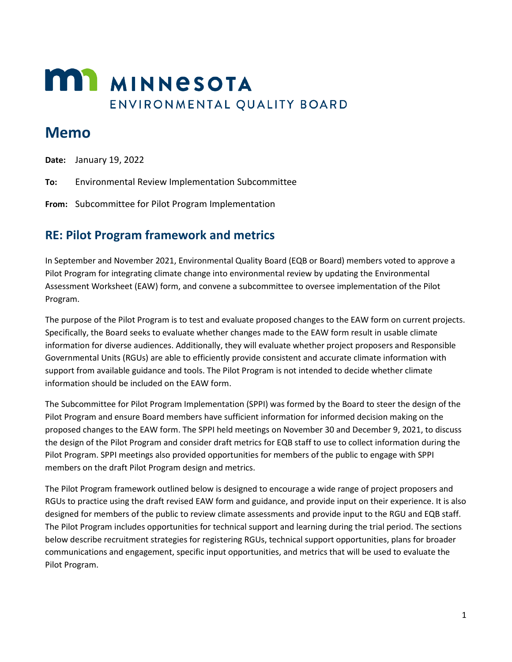# **MIT MINNESOTA** ENVIRONMENTAL QUALITY BOARD

## **Memo**

**Date:** January 19, 2022

**To:** Environmental Review Implementation Subcommittee

**From:** Subcommittee for Pilot Program Implementation

### **RE: Pilot Program framework and metrics**

In September and November 2021, Environmental Quality Board (EQB or Board) members voted to approve a Pilot Program for integrating climate change into environmental review by updating the Environmental Assessment Worksheet (EAW) form, and convene a subcommittee to oversee implementation of the Pilot Program.

The purpose of the Pilot Program is to test and evaluate proposed changes to the EAW form on current projects. Specifically, the Board seeks to evaluate whether changes made to the EAW form result in usable climate information for diverse audiences. Additionally, they will evaluate whether project proposers and Responsible Governmental Units (RGUs) are able to efficiently provide consistent and accurate climate information with support from available guidance and tools. The Pilot Program is not intended to decide whether climate information should be included on the EAW form.

The Subcommittee for Pilot Program Implementation (SPPI) was formed by the Board to steer the design of the Pilot Program and ensure Board members have sufficient information for informed decision making on the proposed changes to the EAW form. The SPPI held meetings on November 30 and December 9, 2021, to discuss the design of the Pilot Program and consider draft metrics for EQB staff to use to collect information during the Pilot Program. SPPI meetings also provided opportunities for members of the public to engage with SPPI members on the draft Pilot Program design and metrics.

The Pilot Program framework outlined below is designed to encourage a wide range of project proposers and RGUs to practice using the draft revised EAW form and guidance, and provide input on their experience. It is also designed for members of the public to review climate assessments and provide input to the RGU and EQB staff. The Pilot Program includes opportunities for technical support and learning during the trial period. The sections below describe recruitment strategies for registering RGUs, technical support opportunities, plans for broader communications and engagement, specific input opportunities, and metrics that will be used to evaluate the Pilot Program.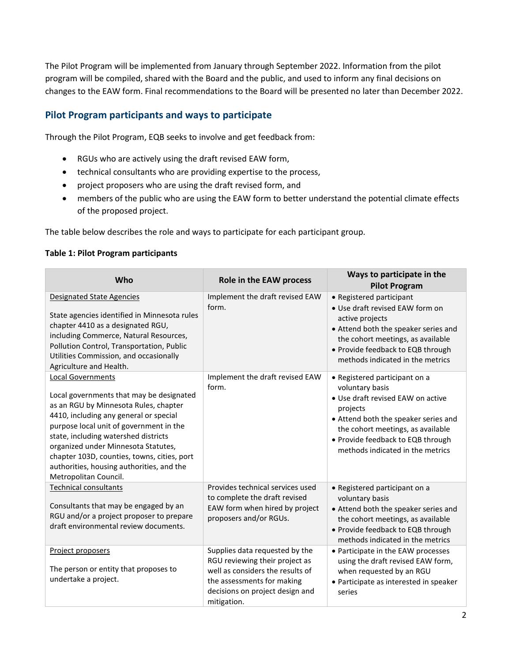The Pilot Program will be implemented from January through September 2022. Information from the pilot program will be compiled, shared with the Board and the public, and used to inform any final decisions on changes to the EAW form. Final recommendations to the Board will be presented no later than December 2022.

#### **Pilot Program participants and ways to participate**

Through the Pilot Program, EQB seeks to involve and get feedback from:

- RGUs who are actively using the draft revised EAW form,
- technical consultants who are providing expertise to the process,
- project proposers who are using the draft revised form, and
- members of the public who are using the EAW form to better understand the potential climate effects of the proposed project.

The table below describes the role and ways to participate for each participant group.

#### **Table 1: Pilot Program participants**

| Who                                                                                                                                                                                                                                                                                                                                                                                                    | Role in the EAW process                                                                                                                                                              | Ways to participate in the<br><b>Pilot Program</b>                                                                                                                                                                                                      |
|--------------------------------------------------------------------------------------------------------------------------------------------------------------------------------------------------------------------------------------------------------------------------------------------------------------------------------------------------------------------------------------------------------|--------------------------------------------------------------------------------------------------------------------------------------------------------------------------------------|---------------------------------------------------------------------------------------------------------------------------------------------------------------------------------------------------------------------------------------------------------|
| <b>Designated State Agencies</b><br>State agencies identified in Minnesota rules<br>chapter 4410 as a designated RGU,<br>including Commerce, Natural Resources,<br>Pollution Control, Transportation, Public<br>Utilities Commission, and occasionally<br>Agriculture and Health.                                                                                                                      | Implement the draft revised EAW<br>form.                                                                                                                                             | • Registered participant<br>• Use draft revised EAW form on<br>active projects<br>• Attend both the speaker series and<br>the cohort meetings, as available<br>• Provide feedback to EQB through<br>methods indicated in the metrics                    |
| <b>Local Governments</b><br>Local governments that may be designated<br>as an RGU by Minnesota Rules, chapter<br>4410, including any general or special<br>purpose local unit of government in the<br>state, including watershed districts<br>organized under Minnesota Statutes,<br>chapter 103D, counties, towns, cities, port<br>authorities, housing authorities, and the<br>Metropolitan Council. | Implement the draft revised EAW<br>form.                                                                                                                                             | • Registered participant on a<br>voluntary basis<br>· Use draft revised EAW on active<br>projects<br>• Attend both the speaker series and<br>the cohort meetings, as available<br>• Provide feedback to EQB through<br>methods indicated in the metrics |
| <b>Technical consultants</b><br>Consultants that may be engaged by an<br>RGU and/or a project proposer to prepare<br>draft environmental review documents.                                                                                                                                                                                                                                             | Provides technical services used<br>to complete the draft revised<br>EAW form when hired by project<br>proposers and/or RGUs.                                                        | • Registered participant on a<br>voluntary basis<br>• Attend both the speaker series and<br>the cohort meetings, as available<br>• Provide feedback to EQB through<br>methods indicated in the metrics                                                  |
| Project proposers<br>The person or entity that proposes to<br>undertake a project.                                                                                                                                                                                                                                                                                                                     | Supplies data requested by the<br>RGU reviewing their project as<br>well as considers the results of<br>the assessments for making<br>decisions on project design and<br>mitigation. | • Participate in the EAW processes<br>using the draft revised EAW form,<br>when requested by an RGU<br>• Participate as interested in speaker<br>series                                                                                                 |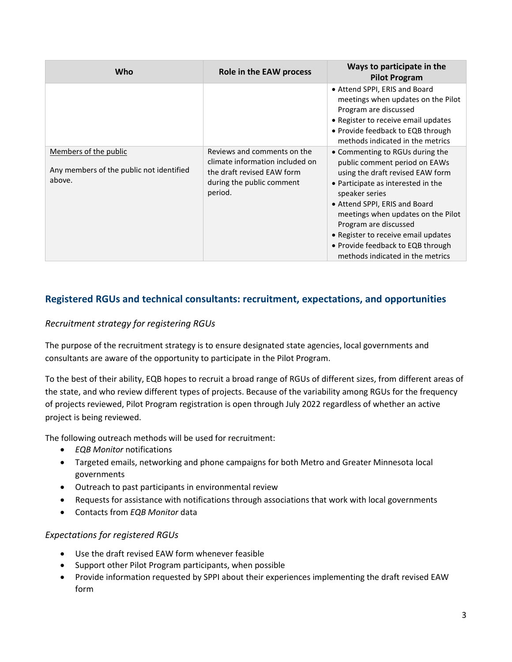| Who                                                                         | Role in the EAW process                                                                                                              | Ways to participate in the<br><b>Pilot Program</b>                                                                                                                                                                                                                                                                                                                           |
|-----------------------------------------------------------------------------|--------------------------------------------------------------------------------------------------------------------------------------|------------------------------------------------------------------------------------------------------------------------------------------------------------------------------------------------------------------------------------------------------------------------------------------------------------------------------------------------------------------------------|
|                                                                             |                                                                                                                                      | • Attend SPPI, ERIS and Board<br>meetings when updates on the Pilot<br>Program are discussed<br>• Register to receive email updates<br>• Provide feedback to EQB through<br>methods indicated in the metrics                                                                                                                                                                 |
| Members of the public<br>Any members of the public not identified<br>above. | Reviews and comments on the<br>climate information included on<br>the draft revised EAW form<br>during the public comment<br>period. | • Commenting to RGUs during the<br>public comment period on EAWs<br>using the draft revised EAW form<br>• Participate as interested in the<br>speaker series<br>• Attend SPPI, ERIS and Board<br>meetings when updates on the Pilot<br>Program are discussed<br>• Register to receive email updates<br>• Provide feedback to EQB through<br>methods indicated in the metrics |

#### **Registered RGUs and technical consultants: recruitment, expectations, and opportunities**

#### *Recruitment strategy for registering RGUs*

The purpose of the recruitment strategy is to ensure designated state agencies, local governments and consultants are aware of the opportunity to participate in the Pilot Program.

To the best of their ability, EQB hopes to recruit a broad range of RGUs of different sizes, from different areas of the state, and who review different types of projects. Because of the variability among RGUs for the frequency of projects reviewed, Pilot Program registration is open through July 2022 regardless of whether an active project is being reviewed.

The following outreach methods will be used for recruitment:

- *EQB Monitor* notifications
- Targeted emails, networking and phone campaigns for both Metro and Greater Minnesota local governments
- Outreach to past participants in environmental review
- Requests for assistance with notifications through associations that work with local governments
- Contacts from *EQB Monitor* data

#### *Expectations for registered RGUs*

- Use the draft revised EAW form whenever feasible
- Support other Pilot Program participants, when possible
- Provide information requested by SPPI about their experiences implementing the draft revised EAW form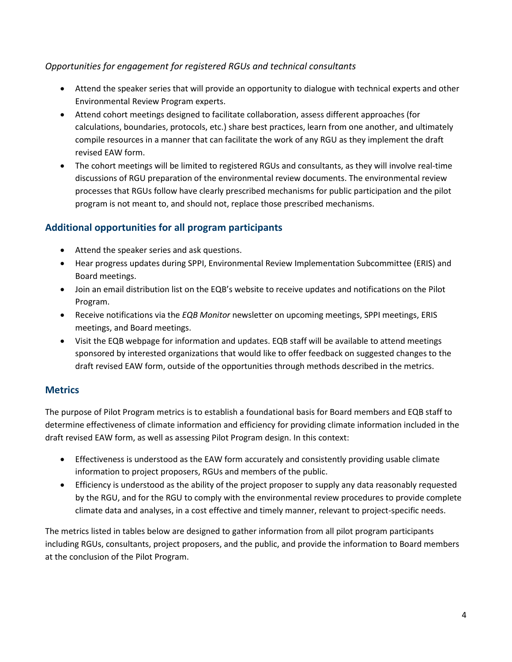#### *Opportunities for engagement for registered RGUs and technical consultants*

- Attend the speaker series that will provide an opportunity to dialogue with technical experts and other Environmental Review Program experts.
- Attend cohort meetings designed to facilitate collaboration, assess different approaches (for calculations, boundaries, protocols, etc.) share best practices, learn from one another, and ultimately compile resources in a manner that can facilitate the work of any RGU as they implement the draft revised EAW form.
- The cohort meetings will be limited to registered RGUs and consultants, as they will involve real-time discussions of RGU preparation of the environmental review documents. The environmental review processes that RGUs follow have clearly prescribed mechanisms for public participation and the pilot program is not meant to, and should not, replace those prescribed mechanisms.

#### **Additional opportunities for all program participants**

- Attend the speaker series and ask questions.
- Hear progress updates during SPPI, Environmental Review Implementation Subcommittee (ERIS) and Board meetings.
- Join an email distribution list on the EQB's website to receive updates and notifications on the Pilot Program.
- Receive notifications via the *EQB Monitor* newsletter on upcoming meetings, SPPI meetings, ERIS meetings, and Board meetings.
- Visit the EQB webpage for information and updates. EQB staff will be available to attend meetings sponsored by interested organizations that would like to offer feedback on suggested changes to the draft revised EAW form, outside of the opportunities through methods described in the metrics.

#### **Metrics**

The purpose of Pilot Program metrics is to establish a foundational basis for Board members and EQB staff to determine effectiveness of climate information and efficiency for providing climate information included in the draft revised EAW form, as well as assessing Pilot Program design. In this context:

- Effectiveness is understood as the EAW form accurately and consistently providing usable climate information to project proposers, RGUs and members of the public.
- Efficiency is understood as the ability of the project proposer to supply any data reasonably requested by the RGU, and for the RGU to comply with the environmental review procedures to provide complete climate data and analyses, in a cost effective and timely manner, relevant to project-specific needs.

The metrics listed in tables below are designed to gather information from all pilot program participants including RGUs, consultants, project proposers, and the public, and provide the information to Board members at the conclusion of the Pilot Program.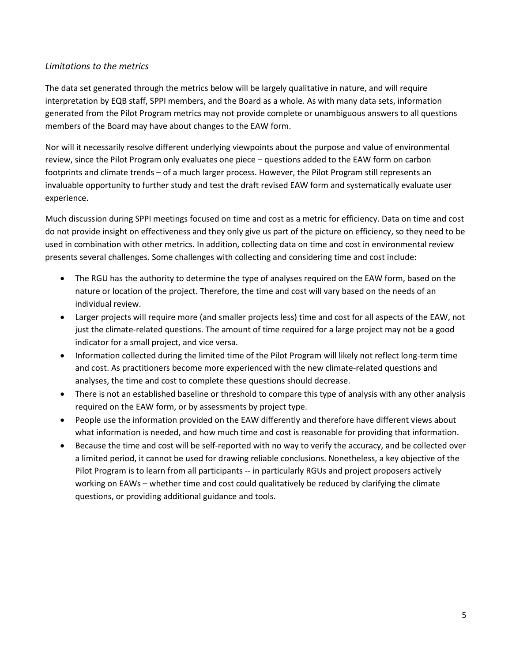#### *Limitations to the metrics*

The data set generated through the metrics below will be largely qualitative in nature, and will require interpretation by EQB staff, SPPI members, and the Board as a whole. As with many data sets, information generated from the Pilot Program metrics may not provide complete or unambiguous answers to all questions members of the Board may have about changes to the EAW form.

Nor will it necessarily resolve different underlying viewpoints about the purpose and value of environmental review, since the Pilot Program only evaluates one piece – questions added to the EAW form on carbon footprints and climate trends – of a much larger process. However, the Pilot Program still represents an invaluable opportunity to further study and test the draft revised EAW form and systematically evaluate user experience.

Much discussion during SPPI meetings focused on time and cost as a metric for efficiency. Data on time and cost do not provide insight on effectiveness and they only give us part of the picture on efficiency, so they need to be used in combination with other metrics. In addition, collecting data on time and cost in environmental review presents several challenges. Some challenges with collecting and considering time and cost include:

- The RGU has the authority to determine the type of analyses required on the EAW form, based on the nature or location of the project. Therefore, the time and cost will vary based on the needs of an individual review.
- Larger projects will require more (and smaller projects less) time and cost for all aspects of the EAW, not just the climate-related questions. The amount of time required for a large project may not be a good indicator for a small project, and vice versa.
- Information collected during the limited time of the Pilot Program will likely not reflect long-term time and cost. As practitioners become more experienced with the new climate-related questions and analyses, the time and cost to complete these questions should decrease.
- There is not an established baseline or threshold to compare this type of analysis with any other analysis required on the EAW form, or by assessments by project type.
- People use the information provided on the EAW differently and therefore have different views about what information is needed, and how much time and cost is reasonable for providing that information.
- Because the time and cost will be self-reported with no way to verify the accuracy, and be collected over a limited period, it cannot be used for drawing reliable conclusions. Nonetheless, a key objective of the Pilot Program is to learn from all participants -- in particularly RGUs and project proposers actively working on EAWs – whether time and cost could qualitatively be reduced by clarifying the climate questions, or providing additional guidance and tools.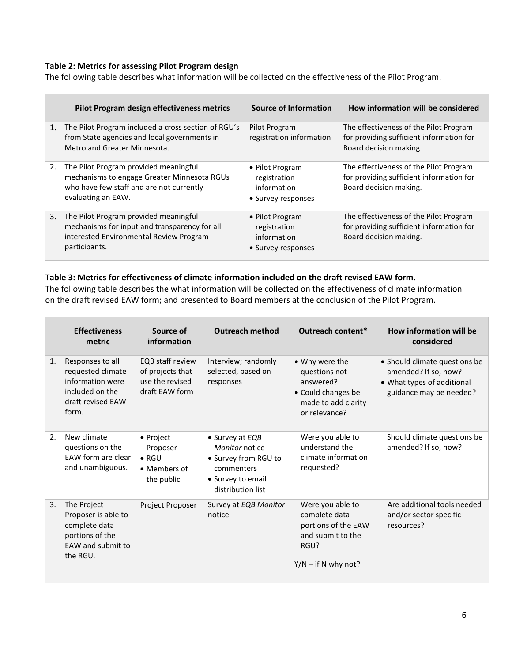#### **Table 2: Metrics for assessing Pilot Program design**

The following table describes what information will be collected on the effectiveness of the Pilot Program.

|                | Pilot Program design effectiveness metrics                                                                                                             | Source of Information                                                | How information will be considered                                                                           |
|----------------|--------------------------------------------------------------------------------------------------------------------------------------------------------|----------------------------------------------------------------------|--------------------------------------------------------------------------------------------------------------|
| $\mathbf{1}$ . | The Pilot Program included a cross section of RGU's<br>from State agencies and local governments in<br>Metro and Greater Minnesota.                    | Pilot Program<br>registration information                            | The effectiveness of the Pilot Program<br>for providing sufficient information for<br>Board decision making. |
| 2.             | The Pilot Program provided meaningful<br>mechanisms to engage Greater Minnesota RGUs<br>who have few staff and are not currently<br>evaluating an EAW. | • Pilot Program<br>registration<br>information<br>• Survey responses | The effectiveness of the Pilot Program<br>for providing sufficient information for<br>Board decision making. |
| 3.             | The Pilot Program provided meaningful<br>mechanisms for input and transparency for all<br>interested Environmental Review Program<br>participants.     | • Pilot Program<br>registration<br>information<br>• Survey responses | The effectiveness of the Pilot Program<br>for providing sufficient information for<br>Board decision making. |

#### **Table 3: Metrics for effectiveness of climate information included on the draft revised EAW form.**

The following table describes the what information will be collected on the effectiveness of climate information on the draft revised EAW form; and presented to Board members at the conclusion of the Pilot Program.

|    | <b>Effectiveness</b><br>metric                                                                             | Source of<br>information                                                         | <b>Outreach method</b>                                                                                            | Outreach content*                                                                                              | How information will be<br>considered                                                                          |
|----|------------------------------------------------------------------------------------------------------------|----------------------------------------------------------------------------------|-------------------------------------------------------------------------------------------------------------------|----------------------------------------------------------------------------------------------------------------|----------------------------------------------------------------------------------------------------------------|
| 1. | Responses to all<br>requested climate<br>information were<br>included on the<br>draft revised EAW<br>form. | <b>EOB staff review</b><br>of projects that<br>use the revised<br>draft EAW form | Interview; randomly<br>selected, based on<br>responses                                                            | • Why were the<br>questions not<br>answered?<br>• Could changes be<br>made to add clarity<br>or relevance?     | • Should climate questions be<br>amended? If so, how?<br>• What types of additional<br>guidance may be needed? |
| 2. | New climate<br>questions on the<br>EAW form are clear<br>and unambiguous.                                  | • Project<br>Proposer<br>$\bullet$ RGU<br>• Members of<br>the public             | • Survey at EQB<br>Monitor notice<br>• Survey from RGU to<br>commenters<br>• Survey to email<br>distribution list | Were you able to<br>understand the<br>climate information<br>requested?                                        | Should climate questions be<br>amended? If so, how?                                                            |
| 3. | The Project<br>Proposer is able to<br>complete data<br>portions of the<br>EAW and submit to<br>the RGU.    | <b>Project Proposer</b>                                                          | Survey at EQB Monitor<br>notice                                                                                   | Were you able to<br>complete data<br>portions of the EAW<br>and submit to the<br>RGU?<br>$Y/N - if N why not?$ | Are additional tools needed<br>and/or sector specific<br>resources?                                            |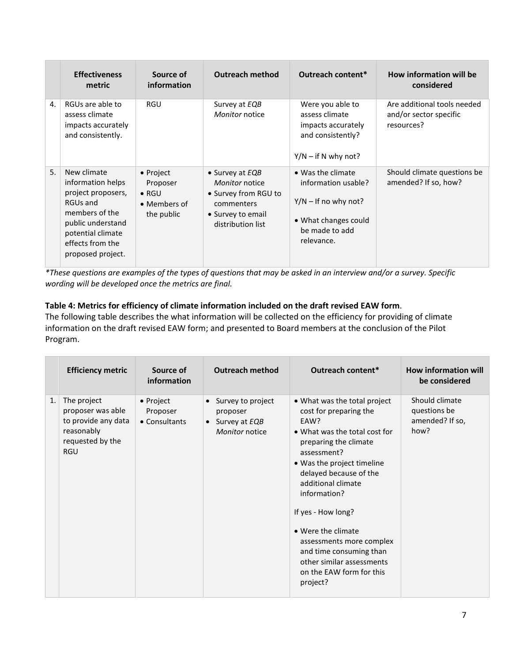|    | <b>Effectiveness</b><br>metric                                                                                                                                          | Source of<br>information                                                     | <b>Outreach method</b>                                                                                            | Outreach content*                                                                                                          | How information will be<br>considered                               |
|----|-------------------------------------------------------------------------------------------------------------------------------------------------------------------------|------------------------------------------------------------------------------|-------------------------------------------------------------------------------------------------------------------|----------------------------------------------------------------------------------------------------------------------------|---------------------------------------------------------------------|
| 4. | RGUs are able to<br>assess climate<br>impacts accurately<br>and consistently.                                                                                           | RGU                                                                          | Survey at EQB<br>Monitor notice                                                                                   | Were you able to<br>assess climate<br>impacts accurately<br>and consistently?<br>$Y/N - if N$ why not?                     | Are additional tools needed<br>and/or sector specific<br>resources? |
| 5. | New climate<br>information helps<br>project proposers,<br>RGUs and<br>members of the<br>public understand<br>potential climate<br>effects from the<br>proposed project. | $\bullet$ Project<br>Proposer<br>$\bullet$ RGU<br>• Members of<br>the public | • Survey at EQB<br>Monitor notice<br>• Survey from RGU to<br>commenters<br>• Survey to email<br>distribution list | • Was the climate<br>information usable?<br>$Y/N -$ If no why not?<br>• What changes could<br>be made to add<br>relevance. | Should climate questions be<br>amended? If so, how?                 |

*\*These questions are examples of the types of questions that may be asked in an interview and/or a survey. Specific wording will be developed once the metrics are final.*

#### **Table 4: Metrics for efficiency of climate information included on the draft revised EAW form**.

The following table describes the what information will be collected on the efficiency for providing of climate information on the draft revised EAW form; and presented to Board members at the conclusion of the Pilot Program.

| <b>Efficiency metric</b>                                                                                      | Source of<br>information               | <b>Outreach method</b>                                                                     | Outreach content*                                                                                                                                                                                                                                                                                                                                                                                             | <b>How information will</b><br>be considered              |
|---------------------------------------------------------------------------------------------------------------|----------------------------------------|--------------------------------------------------------------------------------------------|---------------------------------------------------------------------------------------------------------------------------------------------------------------------------------------------------------------------------------------------------------------------------------------------------------------------------------------------------------------------------------------------------------------|-----------------------------------------------------------|
| 1.<br>The project<br>proposer was able<br>to provide any data<br>reasonably<br>requested by the<br><b>RGU</b> | • Project<br>Proposer<br>• Consultants | Survey to project<br>$\bullet$<br>proposer<br>Survey at EQB<br>$\bullet$<br>Monitor notice | • What was the total project<br>cost for preparing the<br>EAW?<br>• What was the total cost for<br>preparing the climate<br>assessment?<br>. Was the project timeline<br>delayed because of the<br>additional climate<br>information?<br>If yes - How long?<br>• Were the climate<br>assessments more complex<br>and time consuming than<br>other similar assessments<br>on the EAW form for this<br>project? | Should climate<br>questions be<br>amended? If so,<br>how? |